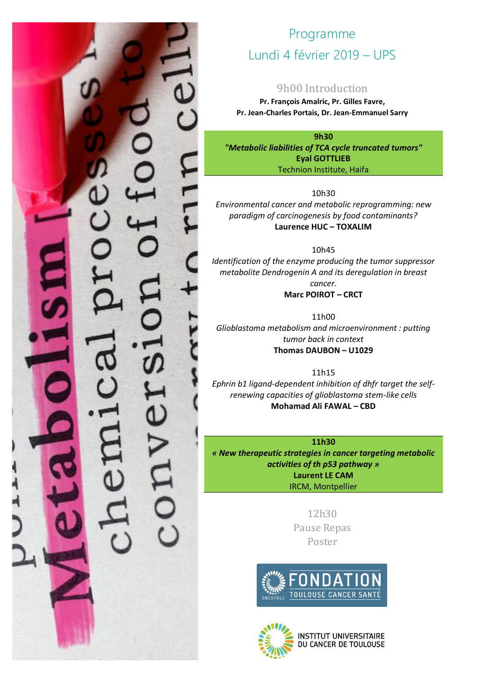## Programme Lundi 4 février 2019 – UPS

## 9h00 Introduction

**Pr. François Amalric, Pr. Gilles Favre, Pr. Jean-Charles Portais, Dr. Jean-Emmanuel Sarry**

**9h30** *"Metabolic liabilities of TCA cycle truncated tumors"* **Eyal GOTTLIEB** Technion Institute, Haifa

10h30

*Environmental cancer and metabolic reprogramming: new paradigm of carcinogenesis by food contaminants?* **Laurence HUC – TOXALIM**

10h45

*Identification of the enzyme producing the tumor suppressor metabolite Dendrogenin A and its deregulation in breast cancer.*

**Marc POIROT – CRCT**

11h00 *Glioblastoma metabolism and microenvironment : putting tumor back in context* **Thomas DAUBON – U1029**

11h15 *Ephrin b1 ligand-dependent inhibition of dhfr target the selfrenewing capacities of glioblastoma stem-like cells* **Mohamad Ali FAWAL – CBD**

**11h30** *« New therapeutic strategies in cancer targeting metabolic activities of th p53 pathway »* **Laurent LE CAM** IRCM, Montpellier

> 12h30 Pause Repas Poster